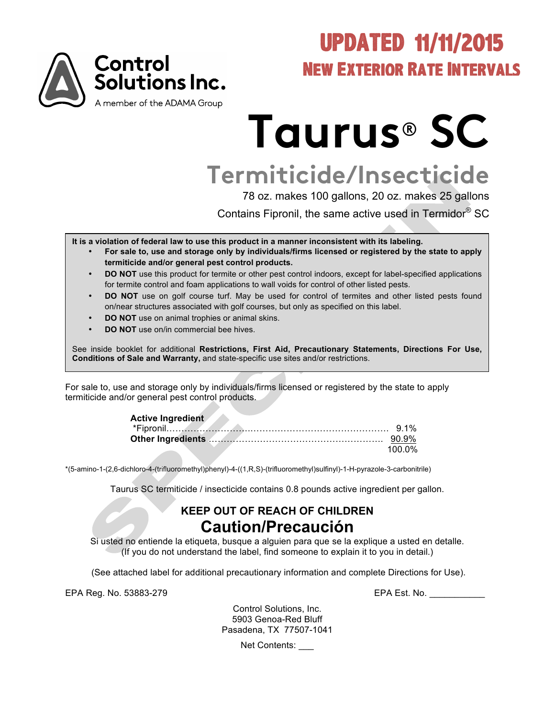

# UPDATED 11/11/2015 New Exterior Rate Intervals

# **Taurus**® **SC**

# **Termiticide/Insecticide**

78 oz. makes 100 gallons, 20 oz. makes 25 gallons

Contains Fipronil, the same active used in Termidor® SC

**It is a violation of federal law to use this product in a manner inconsistent with its labeling.**

- **For sale to, use and storage only by individuals/firms licensed or registered by the state to apply termiticide and/or general pest control products.**
- **DO NOT** use this product for termite or other pest control indoors, except for label-specified applications for termite control and foam applications to wall voids for control of other listed pests.
- **DO NOT** use on golf course turf. May be used for control of termites and other listed pests found on/near structures associated with golf courses, but only as specified on this label.
- **DO NOT** use on animal trophies or animal skins.
- **DO NOT** use on/in commercial bee hives.

See inside booklet for additional **Restrictions, First Aid, Precautionary Statements, Directions For Use, Conditions of Sale and Warranty,** and state-specific use sites and/or restrictions.

For sale to, use and storage only by individuals/firms licensed or registered by the state to apply termiticide and/or general pest control products.

| <b>Active Ingredient</b> |        |
|--------------------------|--------|
|                          |        |
|                          |        |
|                          | 100 0% |

\*(5-amino-1-(2,6-dichloro-4-(trifluoromethyl)phenyl)-4-((1,R,S)-(trifluoromethyl)sulfinyl)-1-H-pyrazole-3-carbonitrile)

Taurus SC termiticide / insecticide contains 0.8 pounds active ingredient per gallon.

## **KEEP OUT OF REACH OF CHILDREN Caution/Precaución**

Si usted no entiende la etiqueta, busque a alguien para que se la explique a usted en detalle. (If you do not understand the label, find someone to explain it to you in detail.)

(See attached label for additional precautionary information and complete Directions for Use).

EPA Reg. No. 53883-279 EPA Est. No. \_\_\_\_\_\_\_\_\_\_\_

Control Solutions, Inc. 5903 Genoa-Red Bluff Pasadena, TX 77507-1041

Net Contents: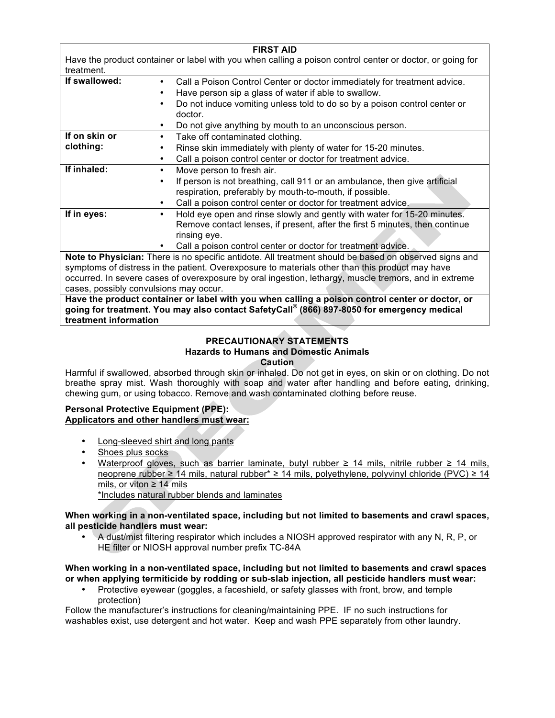| <b>FIRST AID</b>                                                                                          |                                                                                                       |  |  |
|-----------------------------------------------------------------------------------------------------------|-------------------------------------------------------------------------------------------------------|--|--|
| Have the product container or label with you when calling a poison control center or doctor, or going for |                                                                                                       |  |  |
| treatment.                                                                                                |                                                                                                       |  |  |
| If swallowed:                                                                                             | Call a Poison Control Center or doctor immediately for treatment advice.<br>$\bullet$                 |  |  |
|                                                                                                           | Have person sip a glass of water if able to swallow.                                                  |  |  |
|                                                                                                           | Do not induce vomiting unless told to do so by a poison control center or                             |  |  |
|                                                                                                           | doctor.                                                                                               |  |  |
|                                                                                                           | Do not give anything by mouth to an unconscious person.                                               |  |  |
| If on skin or                                                                                             | Take off contaminated clothing.<br>$\bullet$                                                          |  |  |
| clothing:                                                                                                 | Rinse skin immediately with plenty of water for 15-20 minutes.                                        |  |  |
|                                                                                                           | Call a poison control center or doctor for treatment advice.                                          |  |  |
| If inhaled:                                                                                               | Move person to fresh air.<br>٠                                                                        |  |  |
|                                                                                                           | If person is not breathing, call 911 or an ambulance, then give artificial                            |  |  |
|                                                                                                           | respiration, preferably by mouth-to-mouth, if possible.                                               |  |  |
|                                                                                                           | Call a poison control center or doctor for treatment advice.                                          |  |  |
| If in eyes:                                                                                               | Hold eye open and rinse slowly and gently with water for 15-20 minutes.                               |  |  |
|                                                                                                           | Remove contact lenses, if present, after the first 5 minutes, then continue                           |  |  |
|                                                                                                           | rinsing eye.                                                                                          |  |  |
|                                                                                                           | Call a poison control center or doctor for treatment advice.                                          |  |  |
|                                                                                                           | Note to Physician: There is no specific antidote. All treatment should be based on observed signs and |  |  |
| symptoms of distress in the patient. Overexposure to materials other than this product may have           |                                                                                                       |  |  |
| occurred. In severe cases of overexposure by oral ingestion, lethargy, muscle tremors, and in extreme     |                                                                                                       |  |  |
| cases, possibly convulsions may occur.                                                                    |                                                                                                       |  |  |
| Have the product container or label with you when calling a poison control center or doctor, or           |                                                                                                       |  |  |
| going for treatment. You may also contact SafetyCall® (866) 897-8050 for emergency medical                |                                                                                                       |  |  |

**treatment information**

## **PRECAUTIONARY STATEMENTS**

#### **Hazards to Humans and Domestic Animals**

**Caution**

Harmful if swallowed, absorbed through skin or inhaled. Do not get in eyes, on skin or on clothing. Do not breathe spray mist. Wash thoroughly with soap and water after handling and before eating, drinking, chewing gum, or using tobacco. Remove and wash contaminated clothing before reuse.

#### **Personal Protective Equipment (PPE): Applicators and other handlers must wear:**

- Long-sleeved shirt and long pants
- Shoes plus socks
- Waterproof gloves, such as barrier laminate, butyl rubber ≥ 14 mils, nitrile rubber ≥ 14 mils, neoprene rubber ≥ 14 mils, natural rubber\* ≥ 14 mils, polyethylene, polyvinyl chloride (PVC) ≥ 14 mils, or viton  $\geq 14$  mils \*Includes natural rubber blends and laminates

#### **When working in a non-ventilated space, including but not limited to basements and crawl spaces, all pesticide handlers must wear:**

• A dust/mist filtering respirator which includes a NIOSH approved respirator with any N, R, P, or HE filter or NIOSH approval number prefix TC-84A

#### **When working in a non-ventilated space, including but not limited to basements and crawl spaces or when applying termiticide by rodding or sub-slab injection, all pesticide handlers must wear:**

• Protective eyewear (goggles, a faceshield, or safety glasses with front, brow, and temple protection)

Follow the manufacturer's instructions for cleaning/maintaining PPE. IF no such instructions for washables exist, use detergent and hot water. Keep and wash PPE separately from other laundry.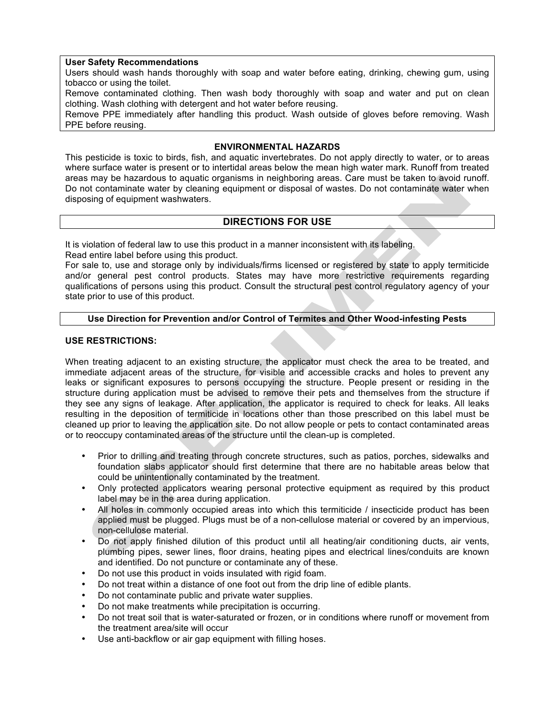#### **User Safety Recommendations**

Users should wash hands thoroughly with soap and water before eating, drinking, chewing gum, using tobacco or using the toilet.

Remove contaminated clothing. Then wash body thoroughly with soap and water and put on clean clothing. Wash clothing with detergent and hot water before reusing.

Remove PPE immediately after handling this product. Wash outside of gloves before removing. Wash PPE before reusing.

#### **ENVIRONMENTAL HAZARDS**

This pesticide is toxic to birds, fish, and aquatic invertebrates. Do not apply directly to water, or to areas where surface water is present or to intertidal areas below the mean high water mark. Runoff from treated areas may be hazardous to aquatic organisms in neighboring areas. Care must be taken to avoid runoff. Do not contaminate water by cleaning equipment or disposal of wastes. Do not contaminate water when disposing of equipment washwaters.

#### **DIRECTIONS FOR USE**

It is violation of federal law to use this product in a manner inconsistent with its labeling.

Read entire label before using this product.

For sale to, use and storage only by individuals/firms licensed or registered by state to apply termiticide and/or general pest control products. States may have more restrictive requirements regarding qualifications of persons using this product. Consult the structural pest control regulatory agency of your state prior to use of this product.

#### **Use Direction for Prevention and/or Control of Termites and Other Wood-infesting Pests**

#### **USE RESTRICTIONS:**

When treating adjacent to an existing structure, the applicator must check the area to be treated, and immediate adjacent areas of the structure, for visible and accessible cracks and holes to prevent any leaks or significant exposures to persons occupying the structure. People present or residing in the structure during application must be advised to remove their pets and themselves from the structure if they see any signs of leakage. After application, the applicator is required to check for leaks. All leaks resulting in the deposition of termiticide in locations other than those prescribed on this label must be cleaned up prior to leaving the application site. Do not allow people or pets to contact contaminated areas or to reoccupy contaminated areas of the structure until the clean-up is completed.

- Prior to drilling and treating through concrete structures, such as patios, porches, sidewalks and foundation slabs applicator should first determine that there are no habitable areas below that could be unintentionally contaminated by the treatment.
- Only protected applicators wearing personal protective equipment as required by this product label may be in the area during application.
- All holes in commonly occupied areas into which this termiticide / insecticide product has been applied must be plugged. Plugs must be of a non-cellulose material or covered by an impervious, non-cellulose material.
- Do not apply finished dilution of this product until all heating/air conditioning ducts, air vents, plumbing pipes, sewer lines, floor drains, heating pipes and electrical lines/conduits are known and identified. Do not puncture or contaminate any of these.
- Do not use this product in voids insulated with rigid foam.
- Do not treat within a distance of one foot out from the drip line of edible plants.
- Do not contaminate public and private water supplies.
- Do not make treatments while precipitation is occurring.
- Do not treat soil that is water-saturated or frozen, or in conditions where runoff or movement from the treatment area/site will occur
- Use anti-backflow or air gap equipment with filling hoses.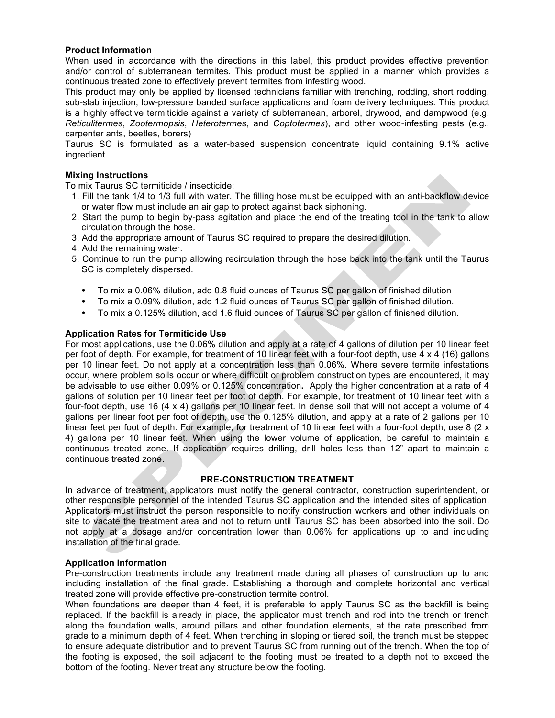#### **Product Information**

When used in accordance with the directions in this label, this product provides effective prevention and/or control of subterranean termites. This product must be applied in a manner which provides a continuous treated zone to effectively prevent termites from infesting wood.

This product may only be applied by licensed technicians familiar with trenching, rodding, short rodding, sub-slab injection, low-pressure banded surface applications and foam delivery techniques. This product is a highly effective termiticide against a variety of subterranean, arborel, drywood, and dampwood (e.g. *Reticulitermes*, *Zootermopsis*, *Heterotermes*, and *Coptotermes*), and other wood-infesting pests (e.g., carpenter ants, beetles, borers)

Taurus SC is formulated as a water-based suspension concentrate liquid containing 9.1% active ingredient.

#### **Mixing Instructions**

To mix Taurus SC termiticide / insecticide:

- 1. Fill the tank 1/4 to 1/3 full with water. The filling hose must be equipped with an anti-backflow device or water flow must include an air gap to protect against back siphoning.
- 2. Start the pump to begin by-pass agitation and place the end of the treating tool in the tank to allow circulation through the hose.
- 3. Add the appropriate amount of Taurus SC required to prepare the desired dilution.
- 4. Add the remaining water.
- 5. Continue to run the pump allowing recirculation through the hose back into the tank until the Taurus SC is completely dispersed.
	- To mix a 0.06% dilution, add 0.8 fluid ounces of Taurus SC per gallon of finished dilution
	- To mix a 0.09% dilution, add 1.2 fluid ounces of Taurus SC per gallon of finished dilution.
	- To mix a 0.125% dilution, add 1.6 fluid ounces of Taurus SC per gallon of finished dilution.

#### **Application Rates for Termiticide Use**

For most applications, use the 0.06% dilution and apply at a rate of 4 gallons of dilution per 10 linear feet per foot of depth. For example, for treatment of 10 linear feet with a four-foot depth, use 4 x 4 (16) gallons per 10 linear feet. Do not apply at a concentration less than 0.06%. Where severe termite infestations occur, where problem soils occur or where difficult or problem construction types are encountered, it may be advisable to use either 0.09% or 0.125% concentration**.** Apply the higher concentration at a rate of 4 gallons of solution per 10 linear feet per foot of depth. For example, for treatment of 10 linear feet with a four-foot depth, use 16 (4 x 4) gallons per 10 linear feet. In dense soil that will not accept a volume of 4 gallons per linear foot per foot of depth, use the 0.125% dilution, and apply at a rate of 2 gallons per 10 linear feet per foot of depth. For example, for treatment of 10 linear feet with a four-foot depth, use 8 (2 x 4) gallons per 10 linear feet. When using the lower volume of application, be careful to maintain a continuous treated zone. If application requires drilling, drill holes less than 12" apart to maintain a continuous treated zone.

#### **PRE-CONSTRUCTION TREATMENT**

In advance of treatment, applicators must notify the general contractor, construction superintendent, or other responsible personnel of the intended Taurus SC application and the intended sites of application. Applicators must instruct the person responsible to notify construction workers and other individuals on site to vacate the treatment area and not to return until Taurus SC has been absorbed into the soil. Do not apply at a dosage and/or concentration lower than 0.06% for applications up to and including installation of the final grade.

#### **Application Information**

Pre-construction treatments include any treatment made during all phases of construction up to and including installation of the final grade. Establishing a thorough and complete horizontal and vertical treated zone will provide effective pre-construction termite control.

When foundations are deeper than 4 feet, it is preferable to apply Taurus SC as the backfill is being replaced. If the backfill is already in place, the applicator must trench and rod into the trench or trench along the foundation walls, around pillars and other foundation elements, at the rate prescribed from grade to a minimum depth of 4 feet. When trenching in sloping or tiered soil, the trench must be stepped to ensure adequate distribution and to prevent Taurus SC from running out of the trench. When the top of the footing is exposed, the soil adjacent to the footing must be treated to a depth not to exceed the bottom of the footing. Never treat any structure below the footing.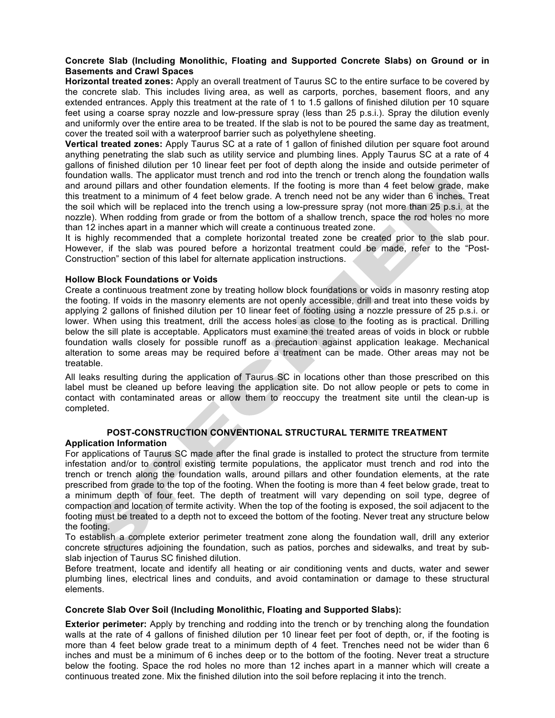#### **Concrete Slab (Including Monolithic, Floating and Supported Concrete Slabs) on Ground or in Basements and Crawl Spaces**

**Horizontal treated zones:** Apply an overall treatment of Taurus SC to the entire surface to be covered by the concrete slab. This includes living area, as well as carports, porches, basement floors, and any extended entrances. Apply this treatment at the rate of 1 to 1.5 gallons of finished dilution per 10 square feet using a coarse spray nozzle and low-pressure spray (less than 25 p.s.i.). Spray the dilution evenly and uniformly over the entire area to be treated. If the slab is not to be poured the same day as treatment, cover the treated soil with a waterproof barrier such as polyethylene sheeting.

**Vertical treated zones:** Apply Taurus SC at a rate of 1 gallon of finished dilution per square foot around anything penetrating the slab such as utility service and plumbing lines. Apply Taurus SC at a rate of 4 gallons of finished dilution per 10 linear feet per foot of depth along the inside and outside perimeter of foundation walls. The applicator must trench and rod into the trench or trench along the foundation walls and around pillars and other foundation elements. If the footing is more than 4 feet below grade, make this treatment to a minimum of 4 feet below grade. A trench need not be any wider than 6 inches. Treat the soil which will be replaced into the trench using a low-pressure spray (not more than 25 p.s.i. at the nozzle). When rodding from grade or from the bottom of a shallow trench, space the rod holes no more than 12 inches apart in a manner which will create a continuous treated zone.

It is highly recommended that a complete horizontal treated zone be created prior to the slab pour. However, if the slab was poured before a horizontal treatment could be made, refer to the "Post-Construction" section of this label for alternate application instructions.

#### **Hollow Block Foundations or Voids**

Create a continuous treatment zone by treating hollow block foundations or voids in masonry resting atop the footing. If voids in the masonry elements are not openly accessible, drill and treat into these voids by applying 2 gallons of finished dilution per 10 linear feet of footing using a nozzle pressure of 25 p.s.i. or lower. When using this treatment, drill the access holes as close to the footing as is practical. Drilling below the sill plate is acceptable. Applicators must examine the treated areas of voids in block or rubble foundation walls closely for possible runoff as a precaution against application leakage. Mechanical alteration to some areas may be required before a treatment can be made. Other areas may not be treatable.

All leaks resulting during the application of Taurus SC in locations other than those prescribed on this label must be cleaned up before leaving the application site. Do not allow people or pets to come in contact with contaminated areas or allow them to reoccupy the treatment site until the clean-up is completed.

### **POST-CONSTRUCTION CONVENTIONAL STRUCTURAL TERMITE TREATMENT**

#### **Application Information**

For applications of Taurus SC made after the final grade is installed to protect the structure from termite infestation and/or to control existing termite populations, the applicator must trench and rod into the trench or trench along the foundation walls, around pillars and other foundation elements, at the rate prescribed from grade to the top of the footing. When the footing is more than 4 feet below grade, treat to a minimum depth of four feet. The depth of treatment will vary depending on soil type, degree of compaction and location of termite activity. When the top of the footing is exposed, the soil adjacent to the footing must be treated to a depth not to exceed the bottom of the footing. Never treat any structure below the footing.

To establish a complete exterior perimeter treatment zone along the foundation wall, drill any exterior concrete structures adjoining the foundation, such as patios, porches and sidewalks, and treat by subslab injection of Taurus SC finished dilution.

Before treatment, locate and identify all heating or air conditioning vents and ducts, water and sewer plumbing lines, electrical lines and conduits, and avoid contamination or damage to these structural elements.

#### **Concrete Slab Over Soil (Including Monolithic, Floating and Supported Slabs):**

**Exterior perimeter:** Apply by trenching and rodding into the trench or by trenching along the foundation walls at the rate of 4 gallons of finished dilution per 10 linear feet per foot of depth, or, if the footing is more than 4 feet below grade treat to a minimum depth of 4 feet. Trenches need not be wider than 6 inches and must be a minimum of 6 inches deep or to the bottom of the footing. Never treat a structure below the footing. Space the rod holes no more than 12 inches apart in a manner which will create a continuous treated zone. Mix the finished dilution into the soil before replacing it into the trench.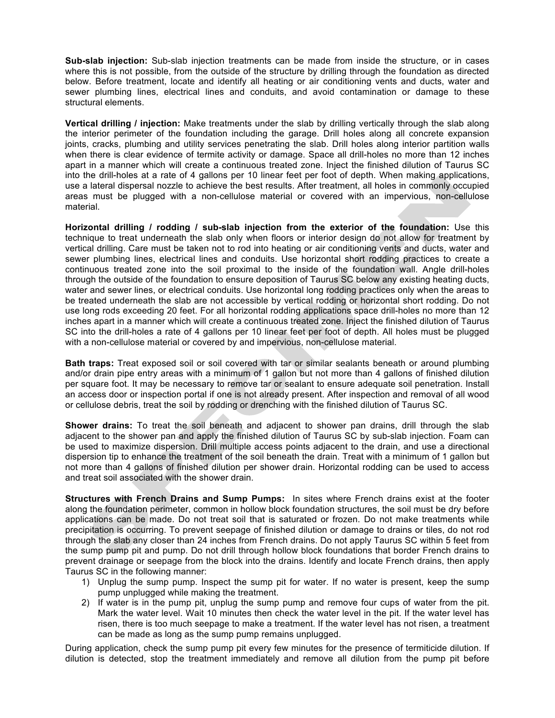**Sub-slab injection:** Sub-slab injection treatments can be made from inside the structure, or in cases where this is not possible, from the outside of the structure by drilling through the foundation as directed below. Before treatment, locate and identify all heating or air conditioning vents and ducts, water and sewer plumbing lines, electrical lines and conduits, and avoid contamination or damage to these structural elements.

**Vertical drilling / injection:** Make treatments under the slab by drilling vertically through the slab along the interior perimeter of the foundation including the garage. Drill holes along all concrete expansion joints, cracks, plumbing and utility services penetrating the slab. Drill holes along interior partition walls when there is clear evidence of termite activity or damage. Space all drill-holes no more than 12 inches apart in a manner which will create a continuous treated zone. Inject the finished dilution of Taurus SC into the drill-holes at a rate of 4 gallons per 10 linear feet per foot of depth. When making applications, use a lateral dispersal nozzle to achieve the best results. After treatment, all holes in commonly occupied areas must be plugged with a non-cellulose material or covered with an impervious, non-cellulose material.

**Horizontal drilling / rodding / sub-slab injection from the exterior of the foundation:** Use this technique to treat underneath the slab only when floors or interior design do not allow for treatment by vertical drilling. Care must be taken not to rod into heating or air conditioning vents and ducts, water and sewer plumbing lines, electrical lines and conduits. Use horizontal short rodding practices to create a continuous treated zone into the soil proximal to the inside of the foundation wall. Angle drill-holes through the outside of the foundation to ensure deposition of Taurus SC below any existing heating ducts, water and sewer lines, or electrical conduits. Use horizontal long rodding practices only when the areas to be treated underneath the slab are not accessible by vertical rodding or horizontal short rodding. Do not use long rods exceeding 20 feet. For all horizontal rodding applications space drill-holes no more than 12 inches apart in a manner which will create a continuous treated zone. Inject the finished dilution of Taurus SC into the drill-holes a rate of 4 gallons per 10 linear feet per foot of depth. All holes must be plugged with a non-cellulose material or covered by and impervious, non-cellulose material.

**Bath traps:** Treat exposed soil or soil covered with tar or similar sealants beneath or around plumbing and/or drain pipe entry areas with a minimum of 1 gallon but not more than 4 gallons of finished dilution per square foot. It may be necessary to remove tar or sealant to ensure adequate soil penetration. Install an access door or inspection portal if one is not already present. After inspection and removal of all wood or cellulose debris, treat the soil by rodding or drenching with the finished dilution of Taurus SC.

**Shower drains:** To treat the soil beneath and adjacent to shower pan drains, drill through the slab adjacent to the shower pan and apply the finished dilution of Taurus SC by sub-slab injection. Foam can be used to maximize dispersion. Drill multiple access points adjacent to the drain, and use a directional dispersion tip to enhance the treatment of the soil beneath the drain. Treat with a minimum of 1 gallon but not more than 4 gallons of finished dilution per shower drain. Horizontal rodding can be used to access and treat soil associated with the shower drain.

**Structures with French Drains and Sump Pumps:** In sites where French drains exist at the footer along the foundation perimeter, common in hollow block foundation structures, the soil must be dry before applications can be made. Do not treat soil that is saturated or frozen. Do not make treatments while precipitation is occurring. To prevent seepage of finished dilution or damage to drains or tiles, do not rod through the slab any closer than 24 inches from French drains. Do not apply Taurus SC within 5 feet from the sump pump pit and pump. Do not drill through hollow block foundations that border French drains to prevent drainage or seepage from the block into the drains. Identify and locate French drains, then apply Taurus SC in the following manner:

- 1) Unplug the sump pump. Inspect the sump pit for water. If no water is present, keep the sump pump unplugged while making the treatment.
- 2) If water is in the pump pit, unplug the sump pump and remove four cups of water from the pit. Mark the water level. Wait 10 minutes then check the water level in the pit. If the water level has risen, there is too much seepage to make a treatment. If the water level has not risen, a treatment can be made as long as the sump pump remains unplugged.

During application, check the sump pump pit every few minutes for the presence of termiticide dilution. If dilution is detected, stop the treatment immediately and remove all dilution from the pump pit before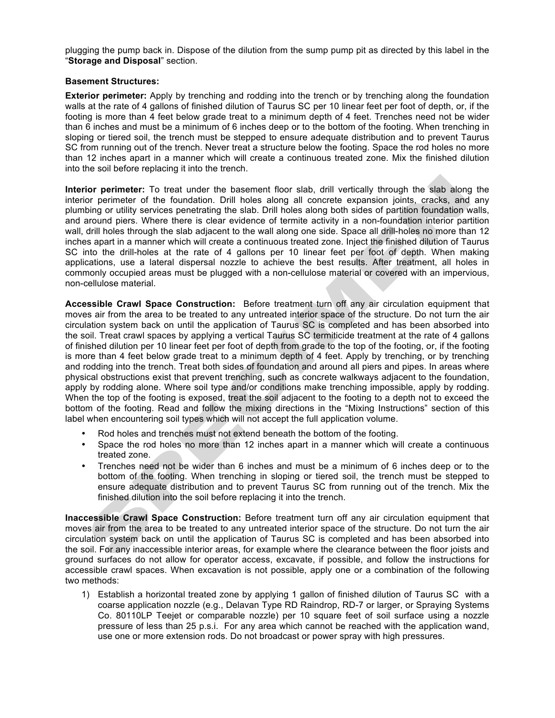plugging the pump back in. Dispose of the dilution from the sump pump pit as directed by this label in the "**Storage and Disposal**" section.

#### **Basement Structures:**

**Exterior perimeter:** Apply by trenching and rodding into the trench or by trenching along the foundation walls at the rate of 4 gallons of finished dilution of Taurus SC per 10 linear feet per foot of depth, or, if the footing is more than 4 feet below grade treat to a minimum depth of 4 feet. Trenches need not be wider than 6 inches and must be a minimum of 6 inches deep or to the bottom of the footing. When trenching in sloping or tiered soil, the trench must be stepped to ensure adequate distribution and to prevent Taurus SC from running out of the trench. Never treat a structure below the footing. Space the rod holes no more than 12 inches apart in a manner which will create a continuous treated zone. Mix the finished dilution into the soil before replacing it into the trench.

**Interior perimeter:** To treat under the basement floor slab, drill vertically through the slab along the interior perimeter of the foundation. Drill holes along all concrete expansion joints, cracks, and any plumbing or utility services penetrating the slab. Drill holes along both sides of partition foundation walls, and around piers. Where there is clear evidence of termite activity in a non-foundation interior partition wall, drill holes through the slab adjacent to the wall along one side. Space all drill-holes no more than 12 inches apart in a manner which will create a continuous treated zone. Inject the finished dilution of Taurus SC into the drill-holes at the rate of 4 gallons per 10 linear feet per foot of depth. When making applications, use a lateral dispersal nozzle to achieve the best results. After treatment, all holes in commonly occupied areas must be plugged with a non-cellulose material or covered with an impervious, non-cellulose material.

**Accessible Crawl Space Construction:** Before treatment turn off any air circulation equipment that moves air from the area to be treated to any untreated interior space of the structure. Do not turn the air circulation system back on until the application of Taurus SC is completed and has been absorbed into the soil. Treat crawl spaces by applying a vertical Taurus SC termiticide treatment at the rate of 4 gallons of finished dilution per 10 linear feet per foot of depth from grade to the top of the footing, or, if the footing is more than 4 feet below grade treat to a minimum depth of 4 feet. Apply by trenching, or by trenching and rodding into the trench. Treat both sides of foundation and around all piers and pipes. In areas where physical obstructions exist that prevent trenching, such as concrete walkways adjacent to the foundation, apply by rodding alone. Where soil type and/or conditions make trenching impossible, apply by rodding. When the top of the footing is exposed, treat the soil adjacent to the footing to a depth not to exceed the bottom of the footing. Read and follow the mixing directions in the "Mixing Instructions" section of this label when encountering soil types which will not accept the full application volume.

- Rod holes and trenches must not extend beneath the bottom of the footing.<br>• Space the rod boles no more than 12 inches apart in a manner which will
- Space the rod holes no more than 12 inches apart in a manner which will create a continuous treated zone.
- Trenches need not be wider than 6 inches and must be a minimum of 6 inches deep or to the bottom of the footing. When trenching in sloping or tiered soil, the trench must be stepped to ensure adequate distribution and to prevent Taurus SC from running out of the trench. Mix the finished dilution into the soil before replacing it into the trench.

**Inaccessible Crawl Space Construction:** Before treatment turn off any air circulation equipment that moves air from the area to be treated to any untreated interior space of the structure. Do not turn the air circulation system back on until the application of Taurus SC is completed and has been absorbed into the soil. For any inaccessible interior areas, for example where the clearance between the floor joists and ground surfaces do not allow for operator access, excavate, if possible, and follow the instructions for accessible crawl spaces. When excavation is not possible, apply one or a combination of the following two methods:

1) Establish a horizontal treated zone by applying 1 gallon of finished dilution of Taurus SC with a coarse application nozzle (e.g., Delavan Type RD Raindrop, RD-7 or larger, or Spraying Systems Co. 80110LP Teejet or comparable nozzle) per 10 square feet of soil surface using a nozzle pressure of less than 25 p.s.i. For any area which cannot be reached with the application wand, use one or more extension rods. Do not broadcast or power spray with high pressures.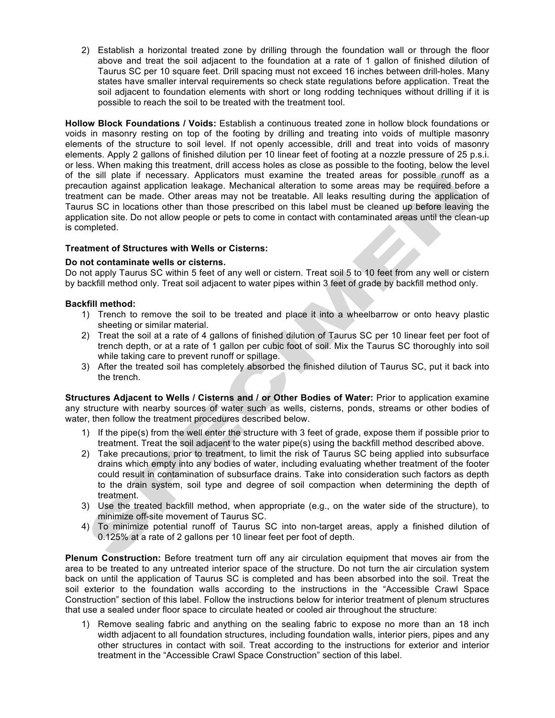2) Establish a horizontal treated zone by drilling through the foundation wall or through the floor above and treat the soil adjacent to the foundation at a rate of 1 gallon of finished dilution of Taurus SC per 10 square feet. Drill spacing must not exceed 16 inches between drill-holes. Many states have smaller interval requirements so check state regulations before application. Treat the soil adjacent to foundation elements with short or long rodding techniques without drilling if it is possible to reach the soil to be treated with the treatment tool.

**Hollow Block Foundations / Voids:** Establish a continuous treated zone in hollow block foundations or voids in masonry resting on top of the footing by drilling and treating into voids of multiple masonry elements of the structure to soil level. If not openly accessible, drill and treat into voids of masonry elements. Apply 2 gallons of finished dilution per 10 linear feet of footing at a nozzle pressure of 25 p.s.i. or less. When making this treatment, drill access holes as close as possible to the footing, below the level of the sill plate if necessary. Applicators must examine the treated areas for possible runoff as a precaution against application leakage. Mechanical alteration to some areas may be required before a treatment can be made. Other areas may not be treatable. All leaks resulting during the application of Taurus SC in locations other than those prescribed on this label must be cleaned up before leaving the application site. Do not allow people or pets to come in contact with contaminated areas until the clean-up is completed.

#### **Treatment of Structures with Wells or Cisterns:**

#### **Do not contaminate wells or cisterns.**

Do not apply Taurus SC within 5 feet of any well or cistern. Treat soil 5 to 10 feet from any well or cistern by backfill method only. Treat soil adjacent to water pipes within 3 feet of grade by backfill method only.

#### **Backfill method:**

- 1) Trench to remove the soil to be treated and place it into a wheelbarrow or onto heavy plastic sheeting or similar material.
- 2) Treat the soil at a rate of 4 gallons of finished dilution of Taurus SC per 10 linear feet per foot of trench depth, or at a rate of 1 gallon per cubic foot of soil. Mix the Taurus SC thoroughly into soil while taking care to prevent runoff or spillage.
- 3) After the treated soil has completely absorbed the finished dilution of Taurus SC, put it back into the trench.

**Structures Adjacent to Wells / Cisterns and / or Other Bodies of Water:** Prior to application examine any structure with nearby sources of water such as wells, cisterns, ponds, streams or other bodies of water, then follow the treatment procedures described below.

- 1) If the pipe(s) from the well enter the structure with 3 feet of grade, expose them if possible prior to treatment. Treat the soil adjacent to the water pipe(s) using the backfill method described above.
- 2) Take precautions, prior to treatment, to limit the risk of Taurus SC being applied into subsurface drains which empty into any bodies of water, including evaluating whether treatment of the footer could result in contamination of subsurface drains. Take into consideration such factors as depth to the drain system, soil type and degree of soil compaction when determining the depth of treatment.
- 3) Use the treated backfill method, when appropriate (e.g., on the water side of the structure), to minimize off-site movement of Taurus SC.
- 4) To minimize potential runoff of Taurus SC into non-target areas, apply a finished dilution of 0.125% at a rate of 2 gallons per 10 linear feet per foot of depth.

**Plenum Construction:** Before treatment turn off any air circulation equipment that moves air from the area to be treated to any untreated interior space of the structure. Do not turn the air circulation system back on until the application of Taurus SC is completed and has been absorbed into the soil. Treat the soil exterior to the foundation walls according to the instructions in the "Accessible Crawl Space Construction" section of this label. Follow the instructions below for interior treatment of plenum structures that use a sealed under floor space to circulate heated or cooled air throughout the structure:

1) Remove sealing fabric and anything on the sealing fabric to expose no more than an 18 inch width adjacent to all foundation structures, including foundation walls, interior piers, pipes and any other structures in contact with soil. Treat according to the instructions for exterior and interior treatment in the "Accessible Crawl Space Construction" section of this label.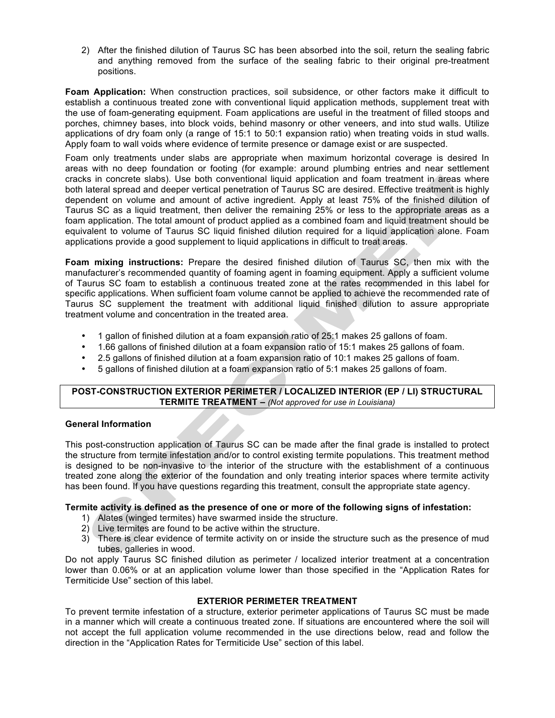2) After the finished dilution of Taurus SC has been absorbed into the soil, return the sealing fabric and anything removed from the surface of the sealing fabric to their original pre-treatment positions.

**Foam Application:** When construction practices, soil subsidence, or other factors make it difficult to establish a continuous treated zone with conventional liquid application methods, supplement treat with the use of foam-generating equipment. Foam applications are useful in the treatment of filled stoops and porches, chimney bases, into block voids, behind masonry or other veneers, and into stud walls. Utilize applications of dry foam only (a range of 15:1 to 50:1 expansion ratio) when treating voids in stud walls. Apply foam to wall voids where evidence of termite presence or damage exist or are suspected.

Foam only treatments under slabs are appropriate when maximum horizontal coverage is desired In areas with no deep foundation or footing (for example: around plumbing entries and near settlement cracks in concrete slabs). Use both conventional liquid application and foam treatment in areas where both lateral spread and deeper vertical penetration of Taurus SC are desired. Effective treatment is highly dependent on volume and amount of active ingredient. Apply at least 75% of the finished dilution of Taurus SC as a liquid treatment, then deliver the remaining 25% or less to the appropriate areas as a foam application. The total amount of product applied as a combined foam and liquid treatment should be equivalent to volume of Taurus SC liquid finished dilution required for a liquid application alone. Foam applications provide a good supplement to liquid applications in difficult to treat areas.

**Foam mixing instructions:** Prepare the desired finished dilution of Taurus SC, then mix with the manufacturer's recommended quantity of foaming agent in foaming equipment. Apply a sufficient volume of Taurus SC foam to establish a continuous treated zone at the rates recommended in this label for specific applications. When sufficient foam volume cannot be applied to achieve the recommended rate of Taurus SC supplement the treatment with additional liquid finished dilution to assure appropriate treatment volume and concentration in the treated area.

- 1 gallon of finished dilution at a foam expansion ratio of 25:1 makes 25 gallons of foam.
- 1.66 gallons of finished dilution at a foam expansion ratio of 15:1 makes 25 gallons of foam.
- 2.5 gallons of finished dilution at a foam expansion ratio of 10:1 makes 25 gallons of foam.
- 5 gallons of finished dilution at a foam expansion ratio of 5:1 makes 25 gallons of foam.

#### **POST-CONSTRUCTION EXTERIOR PERIMETER / LOCALIZED INTERIOR (EP / LI) STRUCTURAL TERMITE TREATMENT –** *(Not approved for use in Louisiana)*

#### **General Information**

This post-construction application of Taurus SC can be made after the final grade is installed to protect the structure from termite infestation and/or to control existing termite populations. This treatment method is designed to be non-invasive to the interior of the structure with the establishment of a continuous treated zone along the exterior of the foundation and only treating interior spaces where termite activity has been found. If you have questions regarding this treatment, consult the appropriate state agency.

#### **Termite activity is defined as the presence of one or more of the following signs of infestation:**

- 1) Alates (winged termites) have swarmed inside the structure.
- 2) Live termites are found to be active within the structure.
- 3) There is clear evidence of termite activity on or inside the structure such as the presence of mud tubes, galleries in wood.

Do not apply Taurus SC finished dilution as perimeter / localized interior treatment at a concentration lower than 0.06% or at an application volume lower than those specified in the "Application Rates for Termiticide Use" section of this label.

#### **EXTERIOR PERIMETER TREATMENT**

To prevent termite infestation of a structure, exterior perimeter applications of Taurus SC must be made in a manner which will create a continuous treated zone. If situations are encountered where the soil will not accept the full application volume recommended in the use directions below, read and follow the direction in the "Application Rates for Termiticide Use" section of this label.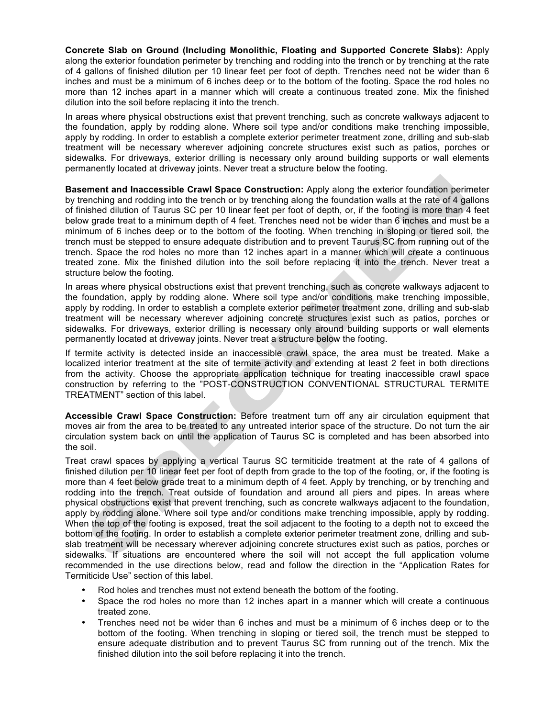**Concrete Slab on Ground (Including Monolithic, Floating and Supported Concrete Slabs):** Apply along the exterior foundation perimeter by trenching and rodding into the trench or by trenching at the rate of 4 gallons of finished dilution per 10 linear feet per foot of depth. Trenches need not be wider than 6 inches and must be a minimum of 6 inches deep or to the bottom of the footing. Space the rod holes no more than 12 inches apart in a manner which will create a continuous treated zone. Mix the finished dilution into the soil before replacing it into the trench.

In areas where physical obstructions exist that prevent trenching, such as concrete walkways adjacent to the foundation, apply by rodding alone. Where soil type and/or conditions make trenching impossible, apply by rodding. In order to establish a complete exterior perimeter treatment zone, drilling and sub-slab treatment will be necessary wherever adjoining concrete structures exist such as patios, porches or sidewalks. For driveways, exterior drilling is necessary only around building supports or wall elements permanently located at driveway joints. Never treat a structure below the footing.

**Basement and Inaccessible Crawl Space Construction:** Apply along the exterior foundation perimeter by trenching and rodding into the trench or by trenching along the foundation walls at the rate of 4 gallons of finished dilution of Taurus SC per 10 linear feet per foot of depth, or, if the footing is more than 4 feet below grade treat to a minimum depth of 4 feet. Trenches need not be wider than 6 inches and must be a minimum of 6 inches deep or to the bottom of the footing. When trenching in sloping or tiered soil, the trench must be stepped to ensure adequate distribution and to prevent Taurus SC from running out of the trench. Space the rod holes no more than 12 inches apart in a manner which will create a continuous treated zone. Mix the finished dilution into the soil before replacing it into the trench. Never treat a structure below the footing.

In areas where physical obstructions exist that prevent trenching, such as concrete walkways adjacent to the foundation, apply by rodding alone. Where soil type and/or conditions make trenching impossible, apply by rodding. In order to establish a complete exterior perimeter treatment zone, drilling and sub-slab treatment will be necessary wherever adjoining concrete structures exist such as patios, porches or sidewalks. For driveways, exterior drilling is necessary only around building supports or wall elements permanently located at driveway joints. Never treat a structure below the footing.

If termite activity is detected inside an inaccessible crawl space, the area must be treated. Make a localized interior treatment at the site of termite activity and extending at least 2 feet in both directions from the activity. Choose the appropriate application technique for treating inaccessible crawl space construction by referring to the "POST-CONSTRUCTION CONVENTIONAL STRUCTURAL TERMITE TREATMENT" section of this label.

**Accessible Crawl Space Construction:** Before treatment turn off any air circulation equipment that moves air from the area to be treated to any untreated interior space of the structure. Do not turn the air circulation system back on until the application of Taurus SC is completed and has been absorbed into the soil.

Treat crawl spaces by applying a vertical Taurus SC termiticide treatment at the rate of 4 gallons of finished dilution per 10 linear feet per foot of depth from grade to the top of the footing, or, if the footing is more than 4 feet below grade treat to a minimum depth of 4 feet. Apply by trenching, or by trenching and rodding into the trench. Treat outside of foundation and around all piers and pipes. In areas where physical obstructions exist that prevent trenching, such as concrete walkways adjacent to the foundation, apply by rodding alone. Where soil type and/or conditions make trenching impossible, apply by rodding. When the top of the footing is exposed, treat the soil adjacent to the footing to a depth not to exceed the bottom of the footing. In order to establish a complete exterior perimeter treatment zone, drilling and subslab treatment will be necessary wherever adjoining concrete structures exist such as patios, porches or sidewalks. If situations are encountered where the soil will not accept the full application volume recommended in the use directions below, read and follow the direction in the "Application Rates for Termiticide Use" section of this label.

- Rod holes and trenches must not extend beneath the bottom of the footing.
- Space the rod holes no more than 12 inches apart in a manner which will create a continuous treated zone.
- Trenches need not be wider than 6 inches and must be a minimum of 6 inches deep or to the bottom of the footing. When trenching in sloping or tiered soil, the trench must be stepped to ensure adequate distribution and to prevent Taurus SC from running out of the trench. Mix the finished dilution into the soil before replacing it into the trench.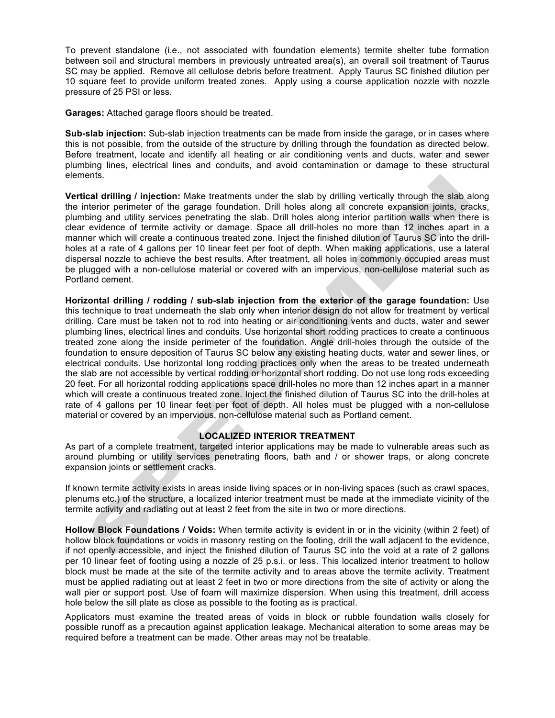To prevent standalone (i.e., not associated with foundation elements) termite shelter tube formation between soil and structural members in previously untreated area(s), an overall soil treatment of Taurus SC may be applied. Remove all cellulose debris before treatment. Apply Taurus SC finished dilution per 10 square feet to provide uniform treated zones. Apply using a course application nozzle with nozzle pressure of 25 PSI or less.

**Garages:** Attached garage floors should be treated.

**Sub-slab injection:** Sub-slab injection treatments can be made from inside the garage, or in cases where this is not possible, from the outside of the structure by drilling through the foundation as directed below. Before treatment, locate and identify all heating or air conditioning vents and ducts, water and sewer plumbing lines, electrical lines and conduits, and avoid contamination or damage to these structural elements.

**Vertical drilling / injection:** Make treatments under the slab by drilling vertically through the slab along the interior perimeter of the garage foundation. Drill holes along all concrete expansion joints, cracks, plumbing and utility services penetrating the slab. Drill holes along interior partition walls when there is clear evidence of termite activity or damage. Space all drill-holes no more than 12 inches apart in a manner which will create a continuous treated zone. Inject the finished dilution of Taurus SC into the drillholes at a rate of 4 gallons per 10 linear feet per foot of depth. When making applications, use a lateral dispersal nozzle to achieve the best results. After treatment, all holes in commonly occupied areas must be plugged with a non-cellulose material or covered with an impervious, non-cellulose material such as Portland cement.

**Horizontal drilling / rodding / sub-slab injection from the exterior of the garage foundation:** Use this technique to treat underneath the slab only when interior design do not allow for treatment by vertical drilling. Care must be taken not to rod into heating or air conditioning vents and ducts, water and sewer plumbing lines, electrical lines and conduits. Use horizontal short rodding practices to create a continuous treated zone along the inside perimeter of the foundation. Angle drill-holes through the outside of the foundation to ensure deposition of Taurus SC below any existing heating ducts, water and sewer lines, or electrical conduits. Use horizontal long rodding practices only when the areas to be treated underneath the slab are not accessible by vertical rodding or horizontal short rodding. Do not use long rods exceeding 20 feet. For all horizontal rodding applications space drill-holes no more than 12 inches apart in a manner which will create a continuous treated zone. Inject the finished dilution of Taurus SC into the drill-holes at rate of 4 gallons per 10 linear feet per foot of depth. All holes must be plugged with a non-cellulose material or covered by an impervious, non-cellulose material such as Portland cement.

#### **LOCALIZED INTERIOR TREATMENT**

As part of a complete treatment, targeted interior applications may be made to vulnerable areas such as around plumbing or utility services penetrating floors, bath and / or shower traps, or along concrete expansion joints or settlement cracks.

If known termite activity exists in areas inside living spaces or in non-living spaces (such as crawl spaces, plenums etc.) of the structure, a localized interior treatment must be made at the immediate vicinity of the termite activity and radiating out at least 2 feet from the site in two or more directions.

**Hollow Block Foundations / Voids:** When termite activity is evident in or in the vicinity (within 2 feet) of hollow block foundations or voids in masonry resting on the footing, drill the wall adjacent to the evidence, if not openly accessible, and inject the finished dilution of Taurus SC into the void at a rate of 2 gallons per 10 linear feet of footing using a nozzle of 25 p.s.i. or less. This localized interior treatment to hollow block must be made at the site of the termite activity and to areas above the termite activity. Treatment must be applied radiating out at least 2 feet in two or more directions from the site of activity or along the wall pier or support post. Use of foam will maximize dispersion. When using this treatment, drill access hole below the sill plate as close as possible to the footing as is practical.

Applicators must examine the treated areas of voids in block or rubble foundation walls closely for possible runoff as a precaution against application leakage. Mechanical alteration to some areas may be required before a treatment can be made. Other areas may not be treatable.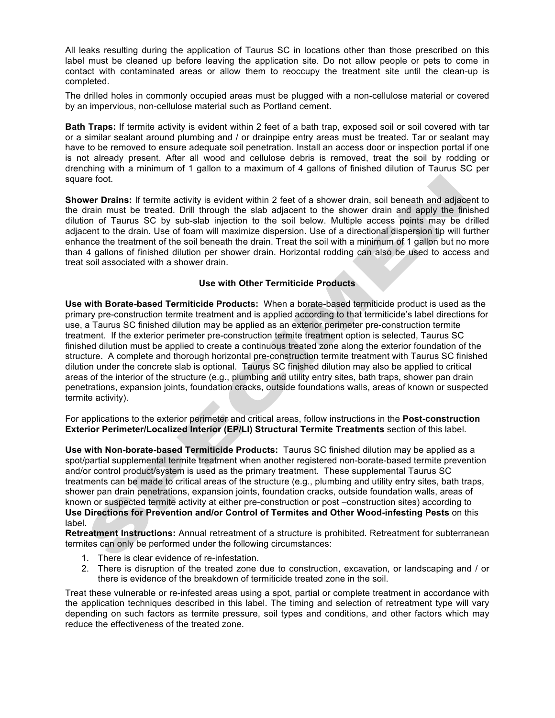All leaks resulting during the application of Taurus SC in locations other than those prescribed on this label must be cleaned up before leaving the application site. Do not allow people or pets to come in contact with contaminated areas or allow them to reoccupy the treatment site until the clean-up is completed.

The drilled holes in commonly occupied areas must be plugged with a non-cellulose material or covered by an impervious, non-cellulose material such as Portland cement.

**Bath Traps:** If termite activity is evident within 2 feet of a bath trap, exposed soil or soil covered with tar or a similar sealant around plumbing and / or drainpipe entry areas must be treated. Tar or sealant may have to be removed to ensure adequate soil penetration. Install an access door or inspection portal if one is not already present. After all wood and cellulose debris is removed, treat the soil by rodding or drenching with a minimum of 1 gallon to a maximum of 4 gallons of finished dilution of Taurus SC per square foot.

**Shower Drains:** If termite activity is evident within 2 feet of a shower drain, soil beneath and adjacent to the drain must be treated. Drill through the slab adjacent to the shower drain and apply the finished dilution of Taurus SC by sub-slab injection to the soil below. Multiple access points may be drilled adjacent to the drain. Use of foam will maximize dispersion. Use of a directional dispersion tip will further enhance the treatment of the soil beneath the drain. Treat the soil with a minimum of 1 gallon but no more than 4 gallons of finished dilution per shower drain. Horizontal rodding can also be used to access and treat soil associated with a shower drain.

#### **Use with Other Termiticide Products**

**Use with Borate-based Termiticide Products:** When a borate-based termiticide product is used as the primary pre-construction termite treatment and is applied according to that termiticide's label directions for use, a Taurus SC finished dilution may be applied as an exterior perimeter pre-construction termite treatment. If the exterior perimeter pre-construction termite treatment option is selected, Taurus SC finished dilution must be applied to create a continuous treated zone along the exterior foundation of the structure. A complete and thorough horizontal pre-construction termite treatment with Taurus SC finished dilution under the concrete slab is optional. Taurus SC finished dilution may also be applied to critical areas of the interior of the structure (e.g., plumbing and utility entry sites, bath traps, shower pan drain penetrations, expansion joints, foundation cracks, outside foundations walls, areas of known or suspected termite activity).

For applications to the exterior perimeter and critical areas, follow instructions in the **Post-construction Exterior Perimeter/Localized Interior (EP/LI) Structural Termite Treatments** section of this label.

**Use with Non-borate-based Termiticide Products:** Taurus SC finished dilution may be applied as a spot/partial supplemental termite treatment when another registered non-borate-based termite prevention and/or control product/system is used as the primary treatment. These supplemental Taurus SC treatments can be made to critical areas of the structure (e.g., plumbing and utility entry sites, bath traps, shower pan drain penetrations, expansion joints, foundation cracks, outside foundation walls, areas of known or suspected termite activity at either pre-construction or post –construction sites) according to **Use Directions for Prevention and/or Control of Termites and Other Wood-infesting Pests** on this label.

**Retreatment Instructions:** Annual retreatment of a structure is prohibited. Retreatment for subterranean termites can only be performed under the following circumstances:

- 1. There is clear evidence of re-infestation.
- 2. There is disruption of the treated zone due to construction, excavation, or landscaping and / or there is evidence of the breakdown of termiticide treated zone in the soil.

Treat these vulnerable or re-infested areas using a spot, partial or complete treatment in accordance with the application techniques described in this label. The timing and selection of retreatment type will vary depending on such factors as termite pressure, soil types and conditions, and other factors which may reduce the effectiveness of the treated zone.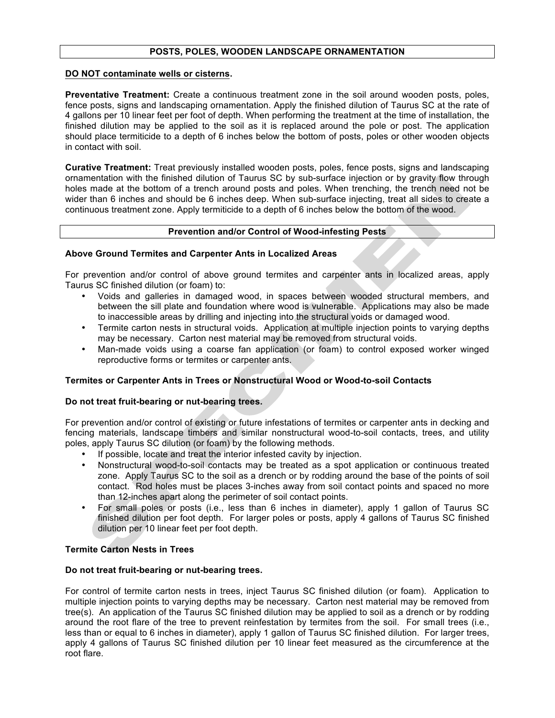#### **POSTS, POLES, WOODEN LANDSCAPE ORNAMENTATION**

#### **DO NOT contaminate wells or cisterns.**

**Preventative Treatment:** Create a continuous treatment zone in the soil around wooden posts, poles, fence posts, signs and landscaping ornamentation. Apply the finished dilution of Taurus SC at the rate of 4 gallons per 10 linear feet per foot of depth. When performing the treatment at the time of installation, the finished dilution may be applied to the soil as it is replaced around the pole or post. The application should place termiticide to a depth of 6 inches below the bottom of posts, poles or other wooden objects in contact with soil.

**Curative Treatment:** Treat previously installed wooden posts, poles, fence posts, signs and landscaping ornamentation with the finished dilution of Taurus SC by sub-surface injection or by gravity flow through holes made at the bottom of a trench around posts and poles. When trenching, the trench need not be wider than 6 inches and should be 6 inches deep. When sub-surface injecting, treat all sides to create a continuous treatment zone. Apply termiticide to a depth of 6 inches below the bottom of the wood.

#### **Prevention and/or Control of Wood-infesting Pests**

#### **Above Ground Termites and Carpenter Ants in Localized Areas**

For prevention and/or control of above ground termites and carpenter ants in localized areas, apply Taurus SC finished dilution (or foam) to:

- Voids and galleries in damaged wood, in spaces between wooded structural members, and between the sill plate and foundation where wood is vulnerable. Applications may also be made to inaccessible areas by drilling and injecting into the structural voids or damaged wood.
- Termite carton nests in structural voids. Application at multiple injection points to varying depths may be necessary. Carton nest material may be removed from structural voids.
- Man-made voids using a coarse fan application (or foam) to control exposed worker winged reproductive forms or termites or carpenter ants.

#### **Termites or Carpenter Ants in Trees or Nonstructural Wood or Wood-to-soil Contacts**

#### **Do not treat fruit-bearing or nut-bearing trees.**

For prevention and/or control of existing or future infestations of termites or carpenter ants in decking and fencing materials, landscape timbers and similar nonstructural wood-to-soil contacts, trees, and utility poles, apply Taurus SC dilution (or foam) by the following methods.

- If possible, locate and treat the interior infested cavity by injection.
- Nonstructural wood-to-soil contacts may be treated as a spot application or continuous treated zone. Apply Taurus SC to the soil as a drench or by rodding around the base of the points of soil contact. Rod holes must be places 3-inches away from soil contact points and spaced no more than 12-inches apart along the perimeter of soil contact points.
- For small poles or posts (i.e., less than 6 inches in diameter), apply 1 gallon of Taurus SC finished dilution per foot depth. For larger poles or posts, apply 4 gallons of Taurus SC finished dilution per 10 linear feet per foot depth.

#### **Termite Carton Nests in Trees**

#### **Do not treat fruit-bearing or nut-bearing trees.**

For control of termite carton nests in trees, inject Taurus SC finished dilution (or foam). Application to multiple injection points to varying depths may be necessary. Carton nest material may be removed from tree(s). An application of the Taurus SC finished dilution may be applied to soil as a drench or by rodding around the root flare of the tree to prevent reinfestation by termites from the soil. For small trees (i.e., less than or equal to 6 inches in diameter), apply 1 gallon of Taurus SC finished dilution. For larger trees, apply 4 gallons of Taurus SC finished dilution per 10 linear feet measured as the circumference at the root flare.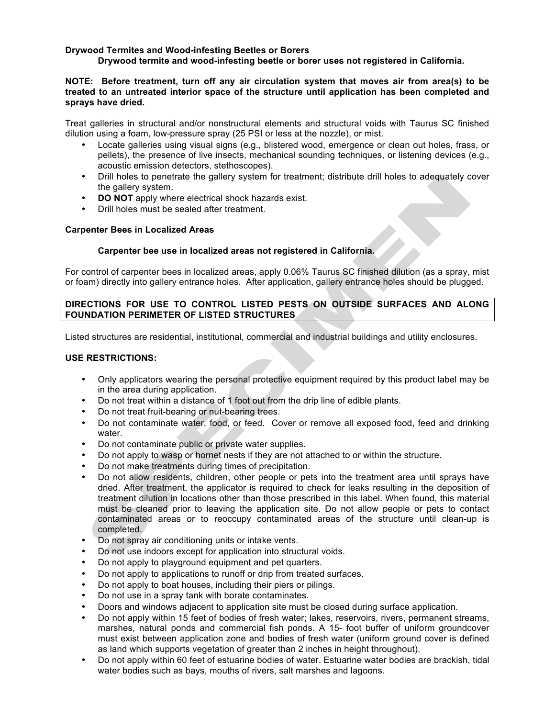#### **Drywood Termites and Wood-infesting Beetles or Borers**

**Drywood termite and wood-infesting beetle or borer uses not registered in California.**

#### **NOTE: Before treatment, turn off any air circulation system that moves air from area(s) to be treated to an untreated interior space of the structure until application has been completed and sprays have dried.**

Treat galleries in structural and/or nonstructural elements and structural voids with Taurus SC finished dilution using a foam, low-pressure spray (25 PSI or less at the nozzle), or mist.

- Locate galleries using visual signs (e.g., blistered wood, emergence or clean out holes, frass, or pellets), the presence of live insects, mechanical sounding techniques, or listening devices (e.g., acoustic emission detectors, stethoscopes).
- Drill holes to penetrate the gallery system for treatment; distribute drill holes to adequately cover the gallery system.
- **DO NOT** apply where electrical shock hazards exist.
- Drill holes must be sealed after treatment.

#### **Carpenter Bees in Localized Areas**

#### **Carpenter bee use in localized areas not registered in California.**

For control of carpenter bees in localized areas, apply 0.06% Taurus SC finished dilution (as a spray, mist or foam) directly into gallery entrance holes. After application, gallery entrance holes should be plugged.

#### **DIRECTIONS FOR USE TO CONTROL LISTED PESTS ON OUTSIDE SURFACES AND ALONG FOUNDATION PERIMETER OF LISTED STRUCTURES**

Listed structures are residential, institutional, commercial and industrial buildings and utility enclosures.

#### **USE RESTRICTIONS:**

- Only applicators wearing the personal protective equipment required by this product label may be in the area during application.
- Do not treat within a distance of 1 foot out from the drip line of edible plants.
- Do not treat fruit-bearing or nut-bearing trees.
- Do not contaminate water, food, or feed. Cover or remove all exposed food, feed and drinking water.
- Do not contaminate public or private water supplies.
- Do not apply to wasp or hornet nests if they are not attached to or within the structure.
- Do not make treatments during times of precipitation.
- Do not allow residents, children, other people or pets into the treatment area until sprays have dried. After treatment, the applicator is required to check for leaks resulting in the deposition of treatment dilution in locations other than those prescribed in this label. When found, this material must be cleaned prior to leaving the application site. Do not allow people or pets to contact contaminated areas or to reoccupy contaminated areas of the structure until clean-up is completed.
- Do not spray air conditioning units or intake vents.
- Do not use indoors except for application into structural voids.
- Do not apply to playground equipment and pet quarters.
- Do not apply to applications to runoff or drip from treated surfaces.
- Do not apply to boat houses, including their piers or pilings.
- Do not use in a spray tank with borate contaminates.
- Doors and windows adjacent to application site must be closed during surface application.
- Do not apply within 15 feet of bodies of fresh water; lakes, reservoirs, rivers, permanent streams, marshes, natural ponds and commercial fish ponds. A 15- foot buffer of uniform groundcover must exist between application zone and bodies of fresh water (uniform ground cover is defined as land which supports vegetation of greater than 2 inches in height throughout).
- Do not apply within 60 feet of estuarine bodies of water. Estuarine water bodies are brackish, tidal water bodies such as bays, mouths of rivers, salt marshes and lagoons.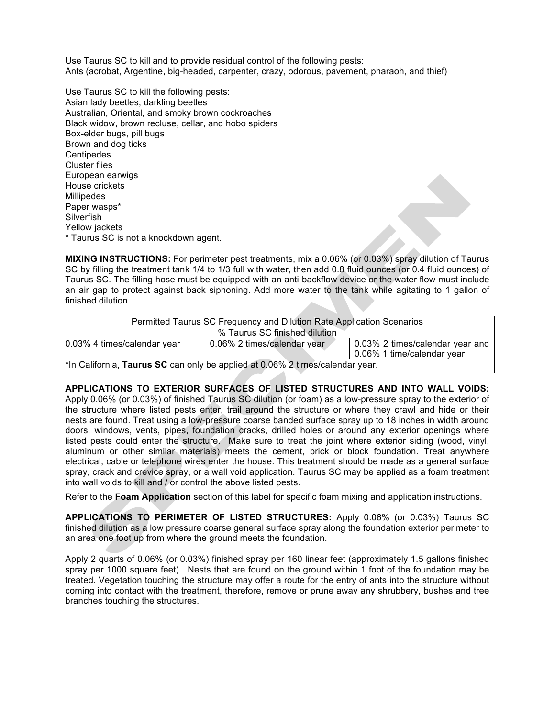Use Taurus SC to kill and to provide residual control of the following pests: Ants (acrobat, Argentine, big-headed, carpenter, crazy, odorous, pavement, pharaoh, and thief)

Use Taurus SC to kill the following pests: Asian lady beetles, darkling beetles Australian, Oriental, and smoky brown cockroaches Black widow, brown recluse, cellar, and hobo spiders Box-elder bugs, pill bugs Brown and dog ticks **Centipedes** Cluster flies European earwigs House crickets **Millipedes** Paper wasps\* **Silverfish** Yellow jackets \* Taurus SC is not a knockdown agent.

**MIXING INSTRUCTIONS:** For perimeter pest treatments, mix a 0.06% (or 0.03%) spray dilution of Taurus SC by filling the treatment tank 1/4 to 1/3 full with water, then add 0.8 fluid ounces (or 0.4 fluid ounces) of Taurus SC. The filling hose must be equipped with an anti-backflow device or the water flow must include an air gap to protect against back siphoning. Add more water to the tank while agitating to 1 gallon of finished dilution.

| Permitted Taurus SC Frequency and Dilution Rate Application Scenarios         |                             |                                                               |  |
|-------------------------------------------------------------------------------|-----------------------------|---------------------------------------------------------------|--|
| % Taurus SC finished dilution                                                 |                             |                                                               |  |
| 0.03% 4 times/calendar year                                                   | 0.06% 2 times/calendar year | 0.03% 2 times/calendar year and<br>0.06% 1 time/calendar year |  |
| *In California, Taurus SC can only be applied at 0.06% 2 times/calendar year. |                             |                                                               |  |

**APPLICATIONS TO EXTERIOR SURFACES OF LISTED STRUCTURES AND INTO WALL VOIDS:**  Apply 0.06% (or 0.03%) of finished Taurus SC dilution (or foam) as a low-pressure spray to the exterior of the structure where listed pests enter, trail around the structure or where they crawl and hide or their nests are found. Treat using a low-pressure coarse banded surface spray up to 18 inches in width around doors, windows, vents, pipes, foundation cracks, drilled holes or around any exterior openings where listed pests could enter the structure. Make sure to treat the joint where exterior siding (wood, vinyl, aluminum or other similar materials) meets the cement, brick or block foundation. Treat anywhere electrical, cable or telephone wires enter the house. This treatment should be made as a general surface spray, crack and crevice spray, or a wall void application. Taurus SC may be applied as a foam treatment into wall voids to kill and / or control the above listed pests.

Refer to the **Foam Application** section of this label for specific foam mixing and application instructions.

**APPLICATIONS TO PERIMETER OF LISTED STRUCTURES:** Apply 0.06% (or 0.03%) Taurus SC finished dilution as a low pressure coarse general surface spray along the foundation exterior perimeter to an area one foot up from where the ground meets the foundation.

Apply 2 quarts of 0.06% (or 0.03%) finished spray per 160 linear feet (approximately 1.5 gallons finished spray per 1000 square feet). Nests that are found on the ground within 1 foot of the foundation may be treated. Vegetation touching the structure may offer a route for the entry of ants into the structure without coming into contact with the treatment, therefore, remove or prune away any shrubbery, bushes and tree branches touching the structures.